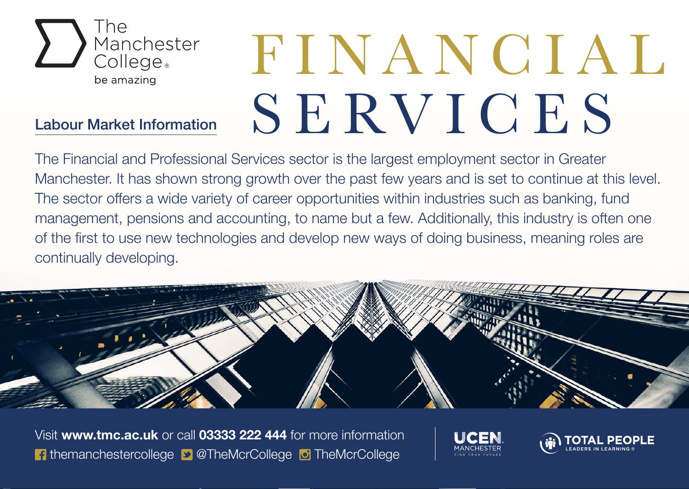

## Labour Market Information

## FINANCIAL S E RV I C E S

The Financial and Professional Services sector is the largest employment sector in Greater Manchester. It has shown strong growth over the past few years and is set to continue at this level. The sector offers a wide variety of career opportunities within industries such as banking, fund management, pensions and accounting, to name but a few. Additionally, this industry is often one of the first to use new technologies and develop new ways of doing business, meaning roles are continually developing.



Visit **www.tmc.ac.uk** or call **03333 222 444** for more information **f** themanchestercollege **D** @TheMcrCollege **D** TheMcrCollege